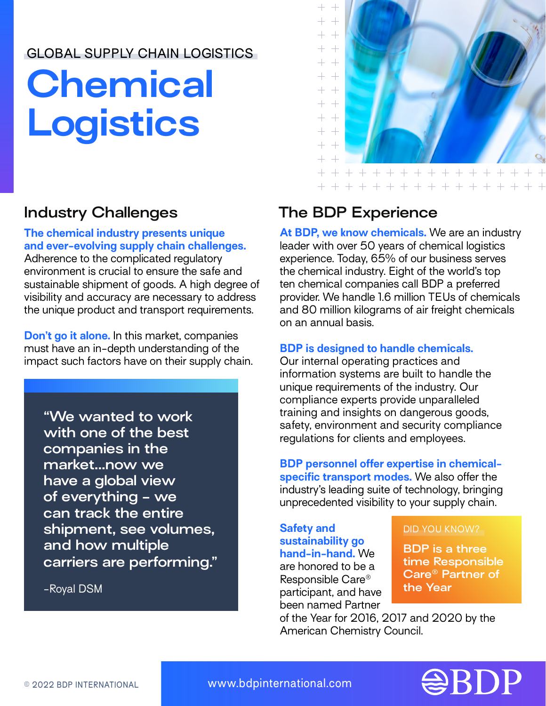## GLOBAL SUPPLY CHAIN LOGISTICS

# **Chemical Logistics**

#### **The chemical industry presents unique and ever-evolving supply chain challenges.**

Adherence to the complicated regulatory environment is crucial to ensure the safe and sustainable shipment of goods. A high degree of visibility and accuracy are necessary to address the unique product and transport requirements.

**Don't go it alone.** In this market, companies must have an in-depth understanding of the impact such factors have on their supply chain.

**"We wanted to work with one of the best companies in the market...now we have a global view of everything - we can track the entire shipment, see volumes, and how multiple carriers are performing."**

-Royal DSM



# **Industry Challenges The BDP Experience**

**At BDP, we know chemicals.** We are an industry leader with over 50 years of chemical logistics experience. Today, 65% of our business serves the chemical industry. Eight of the world's top ten chemical companies call BDP a preferred provider. We handle 1.6 million TEUs of chemicals and 80 million kilograms of air freight chemicals on an annual basis.

## **BDP is designed to handle chemicals.**

Our internal operating practices and information systems are built to handle the unique requirements of the industry. Our compliance experts provide unparalleled training and insights on dangerous goods, safety, environment and security compliance regulations for clients and employees.

**BDP personnel offer expertise in chemicalspecific transport modes.** We also offer the industry's leading suite of technology, bringing unprecedented visibility to your supply chain.

## **Safety and sustainability go**

**hand-in-hand.** We are honored to be a Responsible Care® participant, and have been named Partner

#### DID YOU KNOW?

**BDP is a three time Responsible Care® Partner of the Year**

of the Year for 2016, 2017 and 2020 by the American Chemistry Council.



© 2022 BDP INTERNATIONAL www.bdpinternational.com